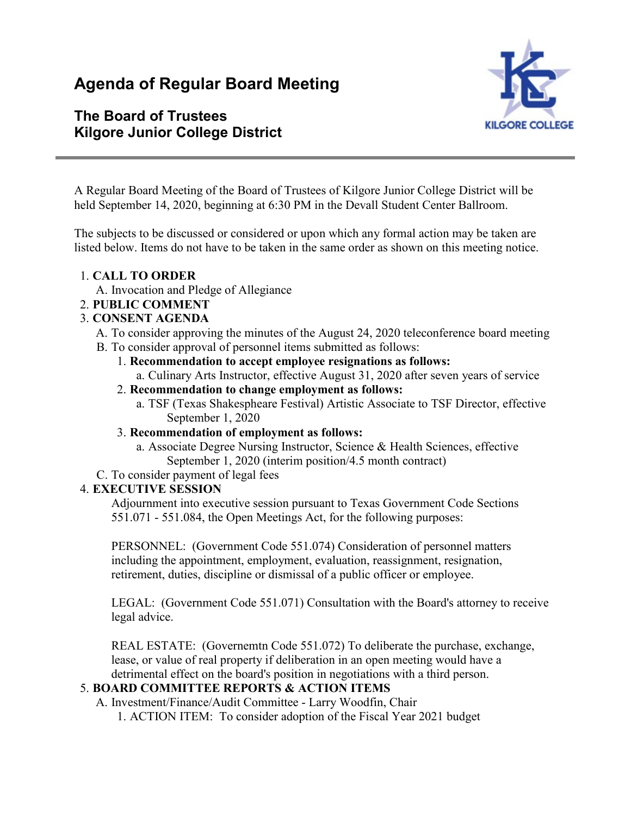# **Agenda of Regular Board Meeting**

## **The Board of Trustees Kilgore Junior College District**



A Regular Board Meeting of the Board of Trustees of Kilgore Junior College District will be held September 14, 2020, beginning at 6:30 PM in the Devall Student Center Ballroom.

The subjects to be discussed or considered or upon which any formal action may be taken are listed below. Items do not have to be taken in the same order as shown on this meeting notice.

- 1. **CALL TO ORDER**
	- A. Invocation and Pledge of Allegiance
- 2. **PUBLIC COMMENT**

#### 3. **CONSENT AGENDA**

- A. To consider approving the minutes of the August 24, 2020 teleconference board meeting
- B. To consider approval of personnel items submitted as follows:
	- 1. **Recommendation to accept employee resignations as follows:**
		- a. Culinary Arts Instructor, effective August 31, 2020 after seven years of service
	- 2. **Recommendation to change employment as follows:**
		- a. TSF (Texas Shakespheare Festival) Artistic Associate to TSF Director, effective September 1, 2020
	- 3. **Recommendation of employment as follows:**
		- a. Associate Degree Nursing Instructor, Science & Health Sciences, effective September 1, 2020 (interim position/4.5 month contract)
- C. To consider payment of legal fees

#### 4. **EXECUTIVE SESSION**

Adjournment into executive session pursuant to Texas Government Code Sections 551.071 - 551.084, the Open Meetings Act, for the following purposes:

PERSONNEL: (Government Code 551.074) Consideration of personnel matters including the appointment, employment, evaluation, reassignment, resignation, retirement, duties, discipline or dismissal of a public officer or employee.

LEGAL: (Government Code 551.071) Consultation with the Board's attorney to receive legal advice.

REAL ESTATE: (Governemtn Code 551.072) To deliberate the purchase, exchange, lease, or value of real property if deliberation in an open meeting would have a detrimental effect on the board's position in negotiations with a third person.

### 5. **BOARD COMMITTEE REPORTS & ACTION ITEMS**

A. Investment/Finance/Audit Committee - Larry Woodfin, Chair

1. ACTION ITEM: To consider adoption of the Fiscal Year 2021 budget